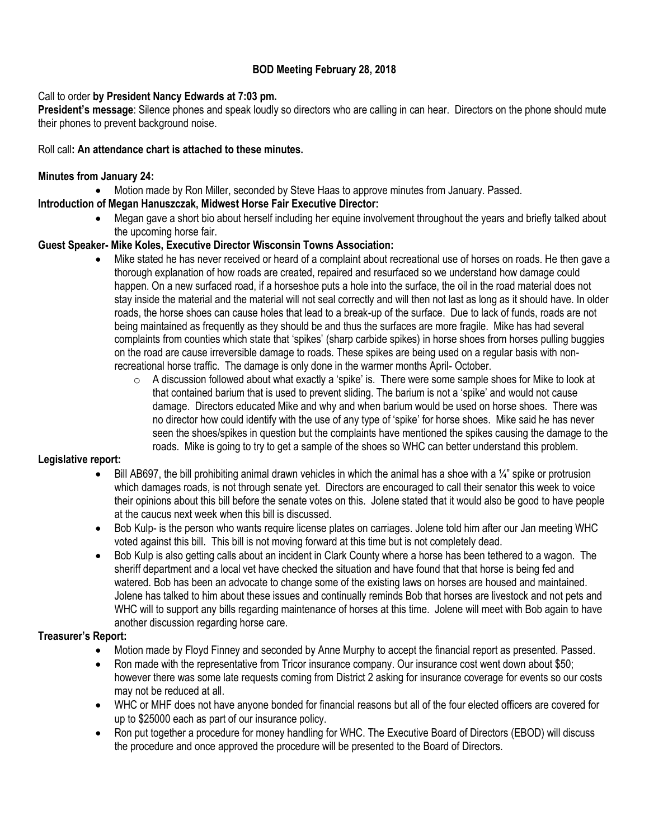### **BOD Meeting February 28, 2018**

### Call to order **by President Nancy Edwards at 7:03 pm.**

**President's message**: Silence phones and speak loudly so directors who are calling in can hear. Directors on the phone should mute their phones to prevent background noise.

### Roll call**: An attendance chart is attached to these minutes.**

#### **Minutes from January 24:**

Motion made by Ron Miller, seconded by Steve Haas to approve minutes from January. Passed.

- **Introduction of Megan Hanuszczak, Midwest Horse Fair Executive Director:**
	- Megan gave a short bio about herself including her equine involvement throughout the years and briefly talked about the upcoming horse fair.

### **Guest Speaker- Mike Koles, Executive Director Wisconsin Towns Association:**

- Mike stated he has never received or heard of a complaint about recreational use of horses on roads. He then gave a thorough explanation of how roads are created, repaired and resurfaced so we understand how damage could happen. On a new surfaced road, if a horseshoe puts a hole into the surface, the oil in the road material does not stay inside the material and the material will not seal correctly and will then not last as long as it should have. In older roads, the horse shoes can cause holes that lead to a break-up of the surface. Due to lack of funds, roads are not being maintained as frequently as they should be and thus the surfaces are more fragile. Mike has had several complaints from counties which state that 'spikes' (sharp carbide spikes) in horse shoes from horses pulling buggies on the road are cause irreversible damage to roads. These spikes are being used on a regular basis with nonrecreational horse traffic. The damage is only done in the warmer months April- October.
	- $\circ$  A discussion followed about what exactly a 'spike' is. There were some sample shoes for Mike to look at that contained barium that is used to prevent sliding. The barium is not a 'spike' and would not cause damage. Directors educated Mike and why and when barium would be used on horse shoes. There was no director how could identify with the use of any type of 'spike' for horse shoes. Mike said he has never seen the shoes/spikes in question but the complaints have mentioned the spikes causing the damage to the roads. Mike is going to try to get a sample of the shoes so WHC can better understand this problem.

#### **Legislative report:**

- Bill AB697, the bill prohibiting animal drawn vehicles in which the animal has a shoe with a  $\frac{1}{4}$ " spike or protrusion which damages roads, is not through senate yet. Directors are encouraged to call their senator this week to voice their opinions about this bill before the senate votes on this. Jolene stated that it would also be good to have people at the caucus next week when this bill is discussed.
- Bob Kulp- is the person who wants require license plates on carriages. Jolene told him after our Jan meeting WHC voted against this bill. This bill is not moving forward at this time but is not completely dead.
- Bob Kulp is also getting calls about an incident in Clark County where a horse has been tethered to a wagon. The sheriff department and a local vet have checked the situation and have found that that horse is being fed and watered. Bob has been an advocate to change some of the existing laws on horses are housed and maintained. Jolene has talked to him about these issues and continually reminds Bob that horses are livestock and not pets and WHC will to support any bills regarding maintenance of horses at this time. Jolene will meet with Bob again to have another discussion regarding horse care.

#### **Treasurer's Report:**

- Motion made by Floyd Finney and seconded by Anne Murphy to accept the financial report as presented. Passed.
- Ron made with the representative from Tricor insurance company. Our insurance cost went down about \$50; however there was some late requests coming from District 2 asking for insurance coverage for events so our costs may not be reduced at all.
- WHC or MHF does not have anyone bonded for financial reasons but all of the four elected officers are covered for up to \$25000 each as part of our insurance policy.
- Ron put together a procedure for money handling for WHC. The Executive Board of Directors (EBOD) will discuss the procedure and once approved the procedure will be presented to the Board of Directors.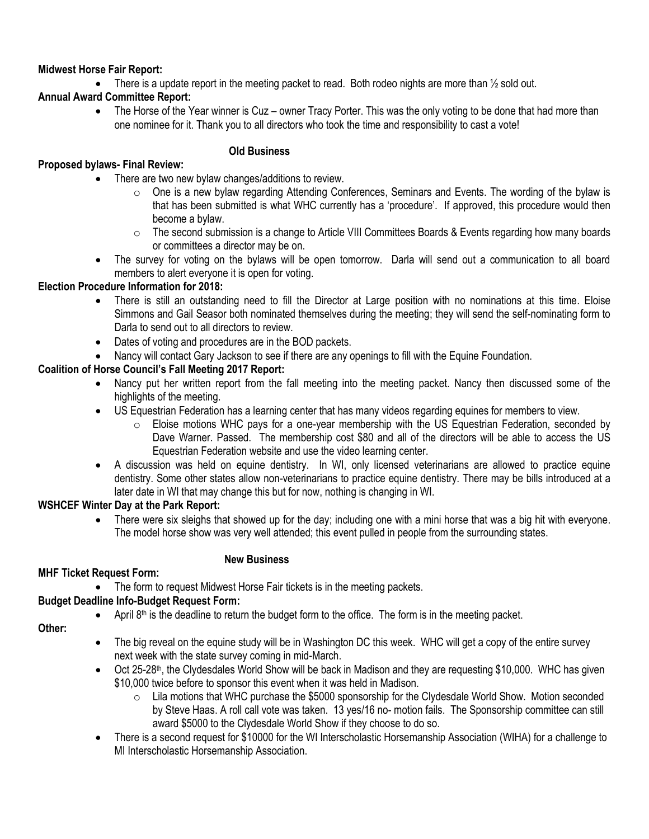### **Midwest Horse Fair Report:**

• There is a update report in the meeting packet to read. Both rodeo nights are more than  $\frac{1}{2}$  sold out.

# **Annual Award Committee Report:**

• The Horse of the Year winner is Cuz – owner Tracy Porter. This was the only voting to be done that had more than one nominee for it. Thank you to all directors who took the time and responsibility to cast a vote!

# **Proposed bylaws- Final Review:**

# **Old Business**

- There are two new bylaw changes/additions to review.
	- o One is a new bylaw regarding Attending Conferences, Seminars and Events. The wording of the bylaw is that has been submitted is what WHC currently has a 'procedure'. If approved, this procedure would then become a bylaw.
	- $\circ$  The second submission is a change to Article VIII Committees Boards & Events regarding how many boards or committees a director may be on.
- The survey for voting on the bylaws will be open tomorrow. Darla will send out a communication to all board members to alert everyone it is open for voting.

### **Election Procedure Information for 2018:**

- There is still an outstanding need to fill the Director at Large position with no nominations at this time. Eloise Simmons and Gail Seasor both nominated themselves during the meeting; they will send the self-nominating form to Darla to send out to all directors to review.
- Dates of voting and procedures are in the BOD packets.
- Nancy will contact Gary Jackson to see if there are any openings to fill with the Equine Foundation.

# **Coalition of Horse Council's Fall Meeting 2017 Report:**

- Nancy put her written report from the fall meeting into the meeting packet. Nancy then discussed some of the highlights of the meeting.
- US Equestrian Federation has a learning center that has many videos regarding equines for members to view.
	- $\circ$  Eloise motions WHC pays for a one-year membership with the US Equestrian Federation, seconded by Dave Warner. Passed. The membership cost \$80 and all of the directors will be able to access the US Equestrian Federation website and use the video learning center.
- A discussion was held on equine dentistry. In WI, only licensed veterinarians are allowed to practice equine dentistry. Some other states allow non-veterinarians to practice equine dentistry. There may be bills introduced at a later date in WI that may change this but for now, nothing is changing in WI.

#### **WSHCEF Winter Day at the Park Report:**

 There were six sleighs that showed up for the day; including one with a mini horse that was a big hit with everyone. The model horse show was very well attended; this event pulled in people from the surrounding states.

# **MHF Ticket Request Form:**

# **New Business**

The form to request Midwest Horse Fair tickets is in the meeting packets.

# **Budget Deadline Info-Budget Request Form:**

April  $8<sup>th</sup>$  is the deadline to return the budget form to the office. The form is in the meeting packet.

**Other:**

- The big reveal on the equine study will be in Washington DC this week. WHC will get a copy of the entire survey next week with the state survey coming in mid-March.
- Oct 25-28<sup>th</sup>, the Clydesdales World Show will be back in Madison and they are requesting \$10,000. WHC has given \$10,000 twice before to sponsor this event when it was held in Madison.
	- $\circ$  Lila motions that WHC purchase the \$5000 sponsorship for the Clydesdale World Show. Motion seconded by Steve Haas. A roll call vote was taken. 13 yes/16 no- motion fails. The Sponsorship committee can still award \$5000 to the Clydesdale World Show if they choose to do so.
- There is a second request for \$10000 for the WI Interscholastic Horsemanship Association (WIHA) for a challenge to MI Interscholastic Horsemanship Association.